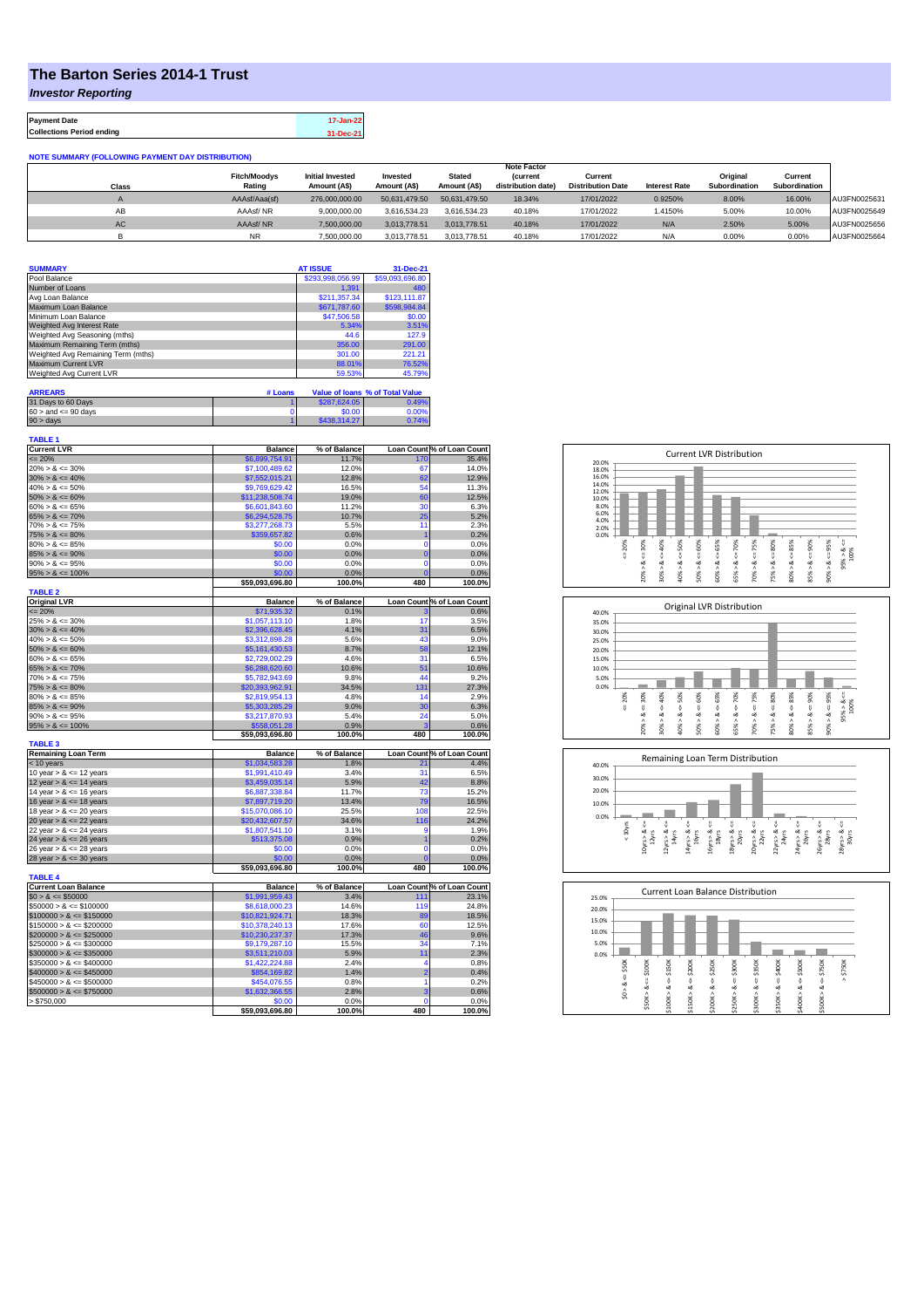## **The Barton Series 2014-1 Trust**

*Investor Reporting*

**Payment Date 17-Jan-22 Collections Period ending 31-Dec-21**

**NOTE SUMMARY (FOLLOWING PAYMENT DAY DISTRIBUTION)**

|              |                     |                         |               |               | <b>Note Factor</b> |                          |                      |               |               |              |
|--------------|---------------------|-------------------------|---------------|---------------|--------------------|--------------------------|----------------------|---------------|---------------|--------------|
|              | <b>Fitch/Moodys</b> | <b>Initial Invested</b> | Invested      | <b>Stated</b> | <i>(current</i>    | Current                  |                      | Original      | Current       |              |
| <b>Class</b> | Rating              | Amount (AS)             | Amount (A\$)  | Amount (A\$)  | distribution date) | <b>Distribution Date</b> | <b>Interest Rate</b> | Subordination | Subordination |              |
|              | AAAsf/Aaa(sf)       | 276,000,000.00          | 50.631.479.50 | 50.631.479.50 | 18.34%             | 17/01/2022               | 0.9250%              | 8.00%         | 16.00%        | AU3FN0025631 |
| AВ           | AAAsf/NR            | 9,000,000.00            | 3.616.534.23  | 3.616.534.23  | 40.18%             | 17/01/2022               | 1.4150%              | 5.00%         | 10.00%        | AU3FN0025649 |
| <b>AC</b>    | AAAsf/NR            | 7,500,000.00            | 3.013.778.51  | 3.013.778.51  | 40.18%             | 17/01/2022               | N/A                  | 2.50%         | 5.00%         | AU3FN0025656 |
|              | <b>NR</b>           | 7.500.000.00            | 3.013.778.51  | 3.013.778.51  | 40.18%             | 17/01/2022               | N/A                  | 0.00%         | 0.00%         | AU3FN0025664 |

| <b>SUMMARY</b>                     | <b>AT ISSUE</b>  | 31-Dec-21       |
|------------------------------------|------------------|-----------------|
| Pool Balance                       | \$293,998,056.99 | \$59,093,696.80 |
| Number of Loans                    | 1.391            | 480             |
| Avg Loan Balance                   | \$211,357.34     | \$123,111.87    |
| Maximum Loan Balance               | \$671,787.60     | \$598,984.84    |
| Minimum Loan Balance               | \$47,506.58      | \$0.00          |
| Weighted Avg Interest Rate         | 5.34%            | 3.51%           |
| Weighted Avg Seasoning (mths)      | 44.6             | 127.9           |
| Maximum Remaining Term (mths)      | 356.00           | 291.00          |
| Weighted Avg Remaining Term (mths) | 301.00           | 221.21          |
| Maximum Current LVR                | 88.01%           | 76.52%          |
| Weighted Avg Current LVR           | 59.53%           | 45.79%          |

| <b>ARREARS</b>            | # Loans |              | Value of Ioans % of Total Value |
|---------------------------|---------|--------------|---------------------------------|
| 31 Days to 60 Days        |         | \$287,624,05 | 0.49%                           |
| $60 >$ and $\leq 90$ days |         | \$0.00       | 0.00%                           |
| $90 >$ days               |         | \$438,314,27 | 0.74%                           |

| TABLE 1                                                 |                                    |                |                |                            |
|---------------------------------------------------------|------------------------------------|----------------|----------------|----------------------------|
| <b>Current LVR</b>                                      | <b>Balance</b>                     | % of Balance   |                | Loan Count % of Loan Count |
| $= 20%$                                                 | \$6,899,754.91                     | 11.7%          | 170            | 35.4%                      |
| $20\% > 8 \le 30\%$                                     | \$7,100,489.62                     | 12.0%          | 67             | 14.0%                      |
| $30\% > 8 \le 40\%$                                     | \$7,552,015.21                     | 12.8%          | 62             | 12.9%                      |
| $40\% > 8 \le 50\%$                                     | \$9,769,629.42                     | 16.5%          | 54             | 11.3%                      |
| $50\% > 8 \le 60\%$                                     | \$11,238,508.74                    | 19.0%          | 60             | 12.5%                      |
| $60\% > 8 \le 65\%$                                     | \$6,601,843.60                     | 11.2%          | 30             | 6.3%                       |
| $65\% > 8 \le 70\%$                                     | \$6,294,528.75                     | 10.7%          | 25             | 5.2%                       |
| $70\% > 8 \le 75\%$                                     | \$3,277,268.73                     | 5.5%           | 11             | 2.3%                       |
| $75\% > 8 \le 80\%$                                     | \$359,657.82                       | 0.6%           | $\overline{1}$ | 0.2%                       |
| $80\% > 8 \le 85\%$                                     | \$0.00                             | 0.0%           | 0              | 0.0%                       |
| $85\% > 8 \le 90\%$                                     | \$0.00                             | 0.0%           | $\overline{0}$ | 0.0%                       |
| $90\% > 8 \le 95\%$                                     | \$0.00                             | 0.0%           | 0              | 0.0%                       |
| $95\% > 8 \le 100\%$                                    | \$0.00                             | 0.0%           | $\overline{0}$ | 0.0%                       |
|                                                         | \$59,093,696.80                    | 100.0%         | 480            | 100.0%                     |
| <b>TABLE 2</b>                                          |                                    |                |                |                            |
| <b>Original LVR</b>                                     | <b>Balance</b>                     | % of Balance   |                | Loan Count % of Loan Count |
| $= 20%$                                                 | \$71,935.32                        | 0.1%           | 3              | 0.6%                       |
| $25\% > 8 \le 30\%$                                     | \$1,057,113.10                     | 1.8%           | 17             | 3.5%                       |
| $30\% > 8 \le 40\%$                                     | \$2,396,628.45                     | 4.1%           | 31             | 6.5%                       |
| $40\% > 8 \le 50\%$                                     | \$3,312,898.28                     | 5.6%           | 43             | 9.0%                       |
| $50\% > 8 \le 60\%$                                     | \$5,161,430.53                     | 8.7%           | 58             | 12.1%                      |
| $60\% > 8 \le 65\%$                                     | \$2,729,002.29                     | 4.6%           | 31             | 6.5%                       |
| $65\% > 8 \le 70\%$                                     | \$6,288,620.60                     | 10.6%          | 51             | 10.6%                      |
| $70\% > 8 \le 75\%$                                     | \$5,782,943.69                     | 9.8%           | 44             | 9.2%                       |
| $75\% > 8 \le 80\%$                                     | \$20,393,962.91                    | 34.5%          | 131            | 27.3%                      |
| $80\% > 8 \le 85\%$                                     | \$2,819,954.13                     | 4.8%           | 14             | 2.9%                       |
| $85\% > 8 \le 90\%$                                     | \$5,303,285.29                     | 9.0%           | 30             | 6.3%                       |
| $90\% > 8 \le 95\%$                                     | \$3,217,870.93                     | 5.4%           | 24             | 5.0%                       |
| $95\% > 8 \le 100\%$                                    | \$558.051.28                       | 0.9%           | 3              | 0.6%                       |
|                                                         | \$59,093,696.80                    | 100.0%         | 480            | 100.0%                     |
| <b>TABLE 3</b>                                          |                                    |                |                |                            |
| <b>Remaining Loan Term</b>                              | <b>Balance</b>                     | % of Balance   |                | Loan Count % of Loan Count |
| < 10 years                                              | \$1,034,583.28                     | 1.8%           | 21             | 4.4%                       |
| 10 year $> 8 \le 12$ years                              | \$1,991,410.49                     | 3.4%           | 31             | 6.5%                       |
| 12 year $> 8 \le 14$ years                              | \$3,459,035.14                     | 5.9%           | 42             | 8.8%                       |
| 14 year $> 8 \le 16$ years                              | \$6,887,338.84                     | 11.7%          | 73             | 15.2%                      |
| 16 year $> 8 \le 18$ years                              | \$7,897,719.20                     | 13.4%          | 79             | 16.5%                      |
| 18 year $> 8 \le 20$ years                              | \$15,070,086.10                    | 25.5%          | 108            | 22.5%                      |
| 20 year $> 8 \le 22$ years                              | \$20,432,607.57                    | 34.6%          | 116            | 24.2%                      |
| 22 year $> 8 \le 24$ years                              | \$1,807,541.10                     | 3.1%           | 9              | 1.9%                       |
| 24 year $> 8 \le 26$ years                              | \$513,375.08                       | 0.9%           | 1              | 0.2%                       |
| 26 year $> 8 \le 28$ years                              | \$0.00                             | 0.0%           | $\overline{0}$ | 0.0%                       |
| 28 year $> 8 \le 30$ years                              | \$0.00                             | 0.0%           | $\overline{0}$ | 0.0%                       |
|                                                         | \$59,093,696.80                    | 100.0%         | 480            | 100.0%                     |
| <b>TABLE 4</b>                                          |                                    |                |                |                            |
| <b>Current Loan Balance</b>                             | <b>Balance</b>                     | % of Balance   |                | Loan Count % of Loan Count |
| $$0 > 8 \le $50000$                                     | \$1,991,959.43                     | 3.4%           | 111            | 23.1%                      |
| $$50000 > 8 \le $100000$                                | \$8,618,000.23                     | 14.6%          | 119            | 24.8%                      |
| $$100000 > 8 \le $150000$                               | \$10,821,924.71                    | 18.3%          | 89             | 18.5%                      |
|                                                         |                                    |                |                |                            |
| $$150000 > 8 \le $200000$<br>$$200000 > 8 \leq $250000$ | \$10,378,240.13<br>\$10,230,237.37 | 17.6%<br>17.3% | 60<br>46       | 12.5%<br>9.6%              |
|                                                         |                                    | 15.5%          | 34             | 7.1%                       |
| $$250000 > 8 \leq $300000$                              | \$9,179,287.10                     |                |                |                            |
| $$300000 > 8 \leq $350000$                              | \$3,511,210.03                     | 5.9%           | 11             | 2.3%                       |
| $$350000 > 8 \le $400000$                               | \$1,422,224.88                     | 2.4%           | 4              | 0.8%                       |
| $$400000 > 8 \le $450000$                               | \$854,169.82                       | 1.4%           | $\overline{2}$ | 0.4%                       |
| $$450000 > 8 \le $500000$                               | \$454,076.55                       | 0.8%           | 1              | 0.2%                       |
| $$500000 > 8 \le $750000$                               | \$1,632,366.55                     | 2.8%           | 3              | 0.6%                       |
| > \$750,000                                             | \$0.00                             | 0.0%           | 0              | 0.0%                       |
|                                                         | \$59,093,696.80                    | 100.0%         | 480            | 100.0%                     |







| 25.0%  | Current Loan Balance Distribution |                  |        |                  |        |        |        |
|--------|-----------------------------------|------------------|--------|------------------|--------|--------|--------|
| 20.0%  |                                   |                  |        |                  |        |        |        |
| 15.0%  |                                   |                  |        |                  |        |        |        |
| 10.0%  |                                   |                  |        |                  |        |        |        |
| 5.0%   |                                   |                  |        |                  |        |        |        |
| 0.0%   |                                   |                  |        |                  |        |        |        |
| \$50K  | \$100K<br>\$150K                  | \$200K<br>\$250K | \$300K | \$400K<br>\$350K | \$500K | \$750K | \$750K |
| J.     |                                   |                  |        |                  |        |        | Λ      |
| ∞<br>٨ | ₩<br>₩<br>જ<br>œ                  | ₩<br>œ<br>œ      | V<br>∞ | ű<br>₩<br>∞<br>œ | œ      | ₩<br>œ |        |
| S.     | \$50K>                            | \$150K>          | Λ      | ٨                |        | ٨      |        |
|        | \$100K                            | \$200K           | \$250K | \$350K<br>\$300K | \$400K | \$500K |        |